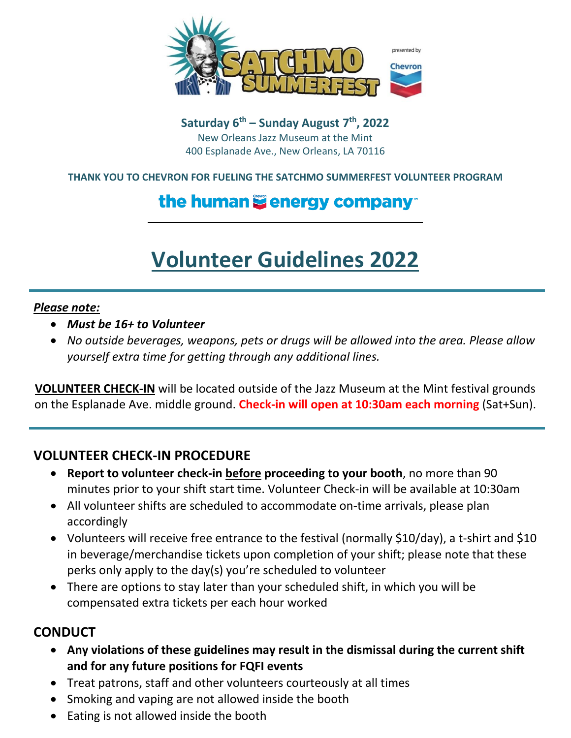

**Saturday 6 th – Sunday August 7 th, 2022** New Orleans Jazz Museum at the Mint 400 Esplanade Ave., New Orleans, LA 70116

#### **THANK YOU TO CHEVRON FOR FUELING THE SATCHMO SUMMERFEST VOLUNTEER PROGRAM**

## the human Cenergy company

# **Volunteer Guidelines 2022**

#### *Please note:*

- *Must be 16+ to Volunteer*
- *No outside beverages, weapons, pets or drugs will be allowed into the area. Please allow yourself extra time for getting through any additional lines.*

**VOLUNTEER CHECK-IN** will be located outside of the Jazz Museum at the Mint festival grounds on the Esplanade Ave. middle ground. **Check-in will open at 10:30am each morning** (Sat+Sun).

#### **VOLUNTEER CHECK-IN PROCEDURE**

- **Report to volunteer check-in before proceeding to your booth**, no more than 90 minutes prior to your shift start time. Volunteer Check-in will be available at 10:30am
- All volunteer shifts are scheduled to accommodate on-time arrivals, please plan accordingly
- Volunteers will receive free entrance to the festival (normally \$10/day), a t-shirt and \$10 in beverage/merchandise tickets upon completion of your shift; please note that these perks only apply to the day(s) you're scheduled to volunteer
- There are options to stay later than your scheduled shift, in which you will be compensated extra tickets per each hour worked

#### **CONDUCT**

- **Any violations of these guidelines may result in the dismissal during the current shift and for any future positions for FQFI events**
- Treat patrons, staff and other volunteers courteously at all times
- Smoking and vaping are not allowed inside the booth
- Eating is not allowed inside the booth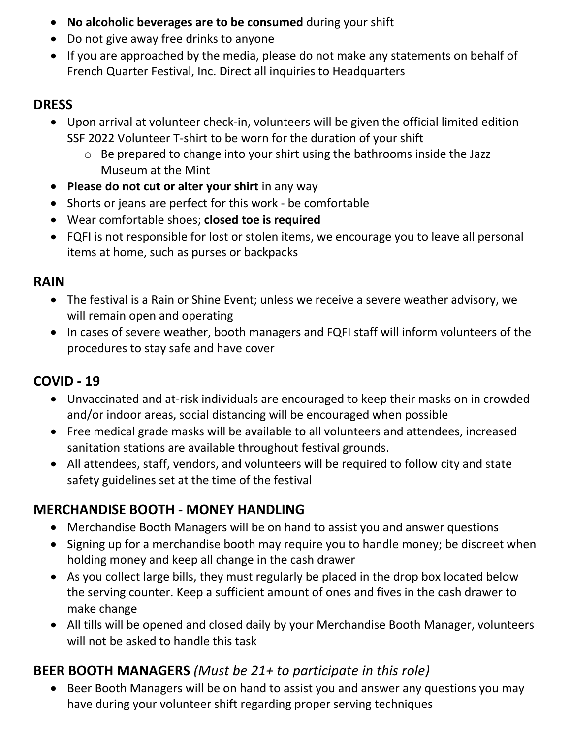- **No alcoholic beverages are to be consumed** during your shift
- Do not give away free drinks to anyone
- If you are approached by the media, please do not make any statements on behalf of French Quarter Festival, Inc. Direct all inquiries to Headquarters

#### **DRESS**

- Upon arrival at volunteer check-in, volunteers will be given the official limited edition SSF 2022 Volunteer T-shirt to be worn for the duration of your shift
	- o Be prepared to change into your shirt using the bathrooms inside the Jazz Museum at the Mint
- **Please do not cut or alter your shirt** in any way
- Shorts or jeans are perfect for this work be comfortable
- Wear comfortable shoes; **closed toe is required**
- FQFI is not responsible for lost or stolen items, we encourage you to leave all personal items at home, such as purses or backpacks

#### **RAIN**

- The festival is a Rain or Shine Event; unless we receive a severe weather advisory, we will remain open and operating
- In cases of severe weather, booth managers and FQFI staff will inform volunteers of the procedures to stay safe and have cover

### **COVID - 19**

- Unvaccinated and at-risk individuals are encouraged to keep their masks on in crowded and/or indoor areas, social distancing will be encouraged when possible
- Free medical grade masks will be available to all volunteers and attendees, increased sanitation stations are available throughout festival grounds.
- All attendees, staff, vendors, and volunteers will be required to follow city and state safety guidelines set at the time of the festival

### **MERCHANDISE BOOTH - MONEY HANDLING**

- Merchandise Booth Managers will be on hand to assist you and answer questions
- Signing up for a merchandise booth may require you to handle money; be discreet when holding money and keep all change in the cash drawer
- As you collect large bills, they must regularly be placed in the drop box located below the serving counter. Keep a sufficient amount of ones and fives in the cash drawer to make change
- All tills will be opened and closed daily by your Merchandise Booth Manager, volunteers will not be asked to handle this task

## **BEER BOOTH MANAGERS** *(Must be 21+ to participate in this role)*

 Beer Booth Managers will be on hand to assist you and answer any questions you may have during your volunteer shift regarding proper serving techniques